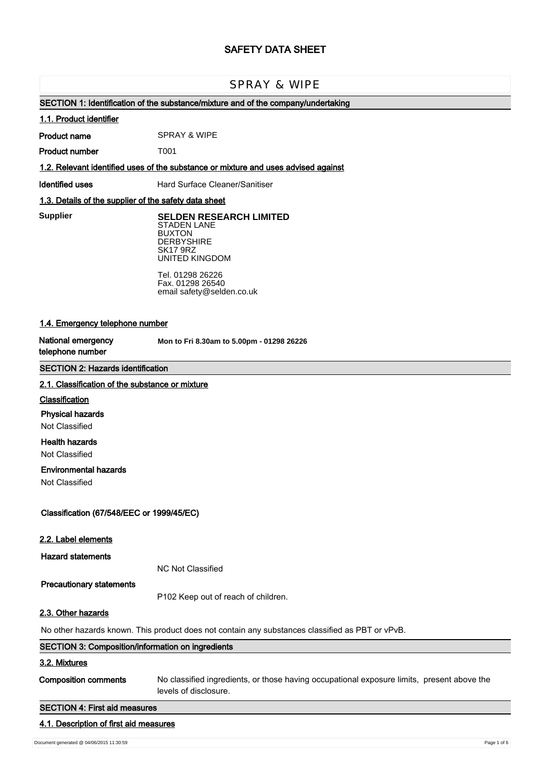# **SAFETY DATA SHEET**

# SPRAY & WIPE

# **SECTION 1: Identification of the substance/mixture and of the company/undertaking**

#### **1.1. Product identifier**

**Product name** SPRAY & WIPE

**Product number** T001

# **1.2. Relevant identified uses of the substance or mixture and uses advised against**

**Identified uses** Hard Surface Cleaner/Sanitiser

# **1.3. Details of the supplier of the safety data sheet**

**Supplier** 

**SELDEN RESEARCH LIMITED** STADEN LANE BUXTON **DERBYSHIRE** SK17 9RZ UNITED KINGDOM

Tel. 01298 26226 Fax. 01298 26540 email safety@selden.co.uk

# **1.4. Emergency telephone number**

**National emergency telephone number**

**Mon to Fri 8.30am to 5.00pm - 01298 26226**

# **SECTION 2: Hazards identification**

### **2.1. Classification of the substance or mixture**

### **Classification**

### **Physical hazards**

Not Classified

# **Health hazards**

Not Classified

# **Environmental hazards**

Not Classified

# **Classification (67/548/EEC or 1999/45/EC)**

### **2.2. Label elements**

**Hazard statements**

NC Not Classified

### **Precautionary statements**

P102 Keep out of reach of children.

# **2.3. Other hazards**

No other hazards known. This product does not contain any substances classified as PBT or vPvB.

# **SECTION 3: Composition/information on ingredients 3.2. Mixtures Composition comments** No classified ingredients, or those having occupational exposure limits, present above the

levels of disclosure.

# **SECTION 4: First aid measures**

### **4.1. Description of first aid measures**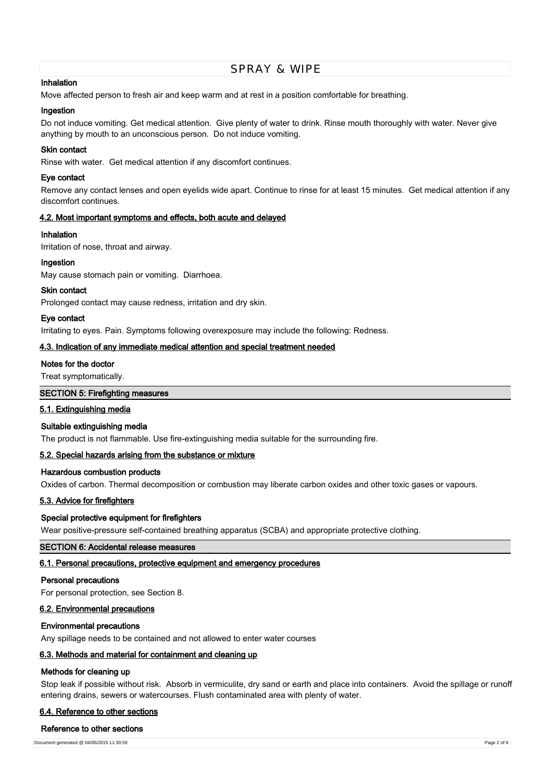### **Inhalation**

Move affected person to fresh air and keep warm and at rest in a position comfortable for breathing.

### **Ingestion**

Do not induce vomiting. Get medical attention. Give plenty of water to drink. Rinse mouth thoroughly with water. Never give anything by mouth to an unconscious person. Do not induce vomiting.

# **Skin contact**

Rinse with water. Get medical attention if any discomfort continues.

# **Eye contact**

Remove any contact lenses and open eyelids wide apart. Continue to rinse for at least 15 minutes. Get medical attention if any discomfort continues.

# **4.2. Most important symptoms and effects, both acute and delayed**

### **Inhalation**

Irritation of nose, throat and airway.

### **Ingestion**

May cause stomach pain or vomiting. Diarrhoea.

### **Skin contact**

Prolonged contact may cause redness, irritation and dry skin.

### **Eye contact**

Irritating to eyes. Pain. Symptoms following overexposure may include the following: Redness.

### **4.3. Indication of any immediate medical attention and special treatment needed**

### **Notes for the doctor**

Treat symptomatically.

### **SECTION 5: Firefighting measures**

### **5.1. Extinguishing media**

### **Suitable extinguishing media**

The product is not flammable. Use fire-extinguishing media suitable for the surrounding fire.

# **5.2. Special hazards arising from the substance or mixture**

# **Hazardous combustion products**

Oxides of carbon. Thermal decomposition or combustion may liberate carbon oxides and other toxic gases or vapours.

### **5.3. Advice for firefighters**

## **Special protective equipment for firefighters**

Wear positive-pressure self-contained breathing apparatus (SCBA) and appropriate protective clothing.

# **SECTION 6: Accidental release measures**

### **6.1. Personal precautions, protective equipment and emergency procedures**

### **Personal precautions**

For personal protection, see Section 8.

# **6.2. Environmental precautions**

### **Environmental precautions**

Any spillage needs to be contained and not allowed to enter water courses

# **6.3. Methods and material for containment and cleaning up**

### **Methods for cleaning up**

Stop leak if possible without risk. Absorb in vermiculite, dry sand or earth and place into containers. Avoid the spillage or runoff entering drains, sewers or watercourses. Flush contaminated area with plenty of water.

### **6.4. Reference to other sections**

#### **Reference to other sections**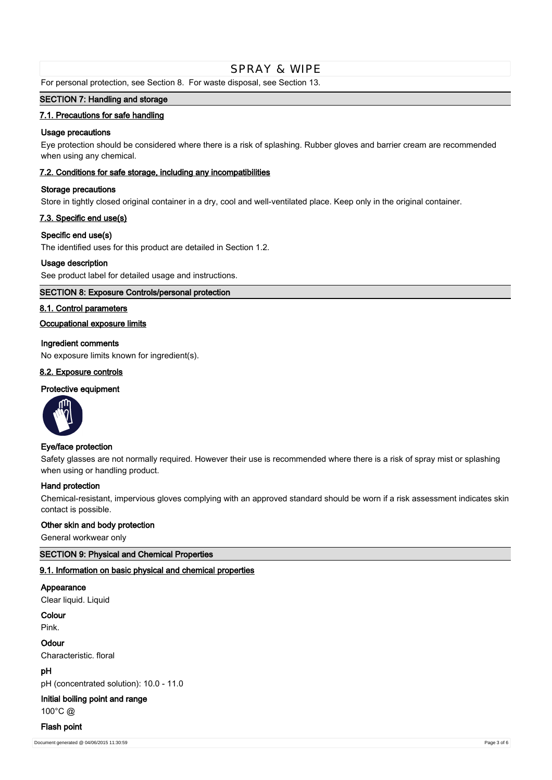For personal protection, see Section 8. For waste disposal, see Section 13.

# **SECTION 7: Handling and storage**

### **7.1. Precautions for safe handling**

### **Usage precautions**

Eye protection should be considered where there is a risk of splashing. Rubber gloves and barrier cream are recommended when using any chemical.

### **7.2. Conditions for safe storage, including any incompatibilities**

### **Storage precautions**

Store in tightly closed original container in a dry, cool and well-ventilated place. Keep only in the original container.

# **7.3. Specific end use(s)**

### **Specific end use(s)**

The identified uses for this product are detailed in Section 1.2.

### **Usage description**

See product label for detailed usage and instructions.

# **SECTION 8: Exposure Controls/personal protection**

### **8.1. Control parameters**

# **Occupational exposure limits**

### **Ingredient comments**

No exposure limits known for ingredient(s).

# **8.2. Exposure controls**

### **Protective equipment**



### **Eye/face protection**

Safety glasses are not normally required. However their use is recommended where there is a risk of spray mist or splashing when using or handling product.

### **Hand protection**

Chemical-resistant, impervious gloves complying with an approved standard should be worn if a risk assessment indicates skin contact is possible.

### **Other skin and body protection**

General workwear only

# **SECTION 9: Physical and Chemical Properties**

### **9.1. Information on basic physical and chemical properties**

# **Appearance**

Clear liquid. Liquid

# **Colour**

Pink.

### **Odour**

Characteristic. floral

# **pH**

pH (concentrated solution): 10.0 - 11.0

# **Initial boiling point and range**

100°C @

### **Flash point**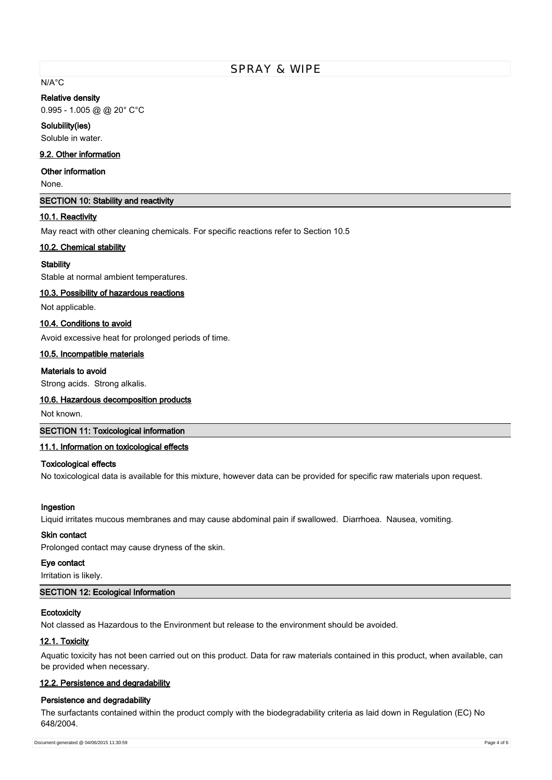# N/A°C

#### **Relative density**

0.995 - 1.005 @ @ 20° C°C

#### **Solubility(ies)**

Soluble in water.

### **9.2. Other information**

## **Other information**

None.

### **SECTION 10: Stability and reactivity**

### **10.1. Reactivity**

May react with other cleaning chemicals. For specific reactions refer to Section 10.5

#### **10.2. Chemical stability**

### **Stability**

Stable at normal ambient temperatures.

### **10.3. Possibility of hazardous reactions**

Not applicable.

# **10.4. Conditions to avoid**

Avoid excessive heat for prolonged periods of time.

#### **10.5. Incompatible materials**

# **Materials to avoid**

Strong acids. Strong alkalis.

### **10.6. Hazardous decomposition products**

Not known.

# **SECTION 11: Toxicological information**

### **11.1. Information on toxicological effects**

## **Toxicological effects**

No toxicological data is available for this mixture, however data can be provided for specific raw materials upon request.

#### **Ingestion**

Liquid irritates mucous membranes and may cause abdominal pain if swallowed. Diarrhoea. Nausea, vomiting.

# **Skin contact**

Prolonged contact may cause dryness of the skin.

# **Eye contact**

Irritation is likely.

# **SECTION 12: Ecological Information**

### **Ecotoxicity**

Not classed as Hazardous to the Environment but release to the environment should be avoided.

### **12.1. Toxicity**

Aquatic toxicity has not been carried out on this product. Data for raw materials contained in this product, when available, can be provided when necessary.

### **12.2. Persistence and degradability**

#### **Persistence and degradability**

The surfactants contained within the product comply with the biodegradability criteria as laid down in Regulation (EC) No 648/2004.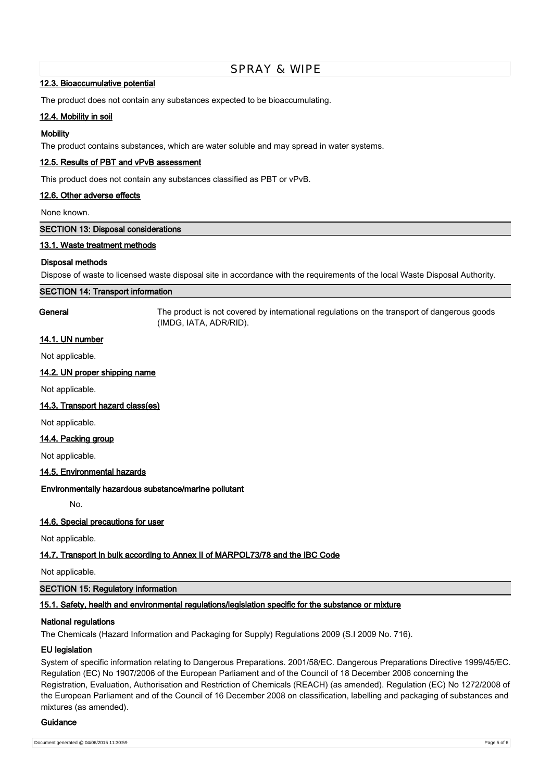### **12.3. Bioaccumulative potential**

The product does not contain any substances expected to be bioaccumulating.

# **12.4. Mobility in soil**

### **Mobility**

The product contains substances, which are water soluble and may spread in water systems.

# **12.5. Results of PBT and vPvB assessment**

This product does not contain any substances classified as PBT or vPvB.

### **12.6. Other adverse effects**

None known.

**SECTION 13: Disposal considerations**

### **13.1. Waste treatment methods**

### **Disposal methods**

Dispose of waste to licensed waste disposal site in accordance with the requirements of the local Waste Disposal Authority.

#### **SECTION 14: Transport information**

**General** The product is not covered by international regulations on the transport of dangerous goods (IMDG, IATA, ADR/RID).

# **14.1. UN number**

Not applicable.

### **14.2. UN proper shipping name**

Not applicable.

### **14.3. Transport hazard class(es)**

Not applicable.

### **14.4. Packing group**

Not applicable.

### **14.5. Environmental hazards**

### **Environmentally hazardous substance/marine pollutant**

No.

### **14.6. Special precautions for user**

Not applicable.

# **14.7. Transport in bulk according to Annex II of MARPOL73/78 and the IBC Code**

Not applicable.

### **SECTION 15: Regulatory information**

### **15.1. Safety, health and environmental regulations/legislation specific for the substance or mixture**

### **National regulations**

The Chemicals (Hazard Information and Packaging for Supply) Regulations 2009 (S.I 2009 No. 716).

### **EU legislation**

System of specific information relating to Dangerous Preparations. 2001/58/EC. Dangerous Preparations Directive 1999/45/EC. Regulation (EC) No 1907/2006 of the European Parliament and of the Council of 18 December 2006 concerning the Registration, Evaluation, Authorisation and Restriction of Chemicals (REACH) (as amended). Regulation (EC) No 1272/2008 of the European Parliament and of the Council of 16 December 2008 on classification, labelling and packaging of substances and mixtures (as amended).

#### **Guidance**